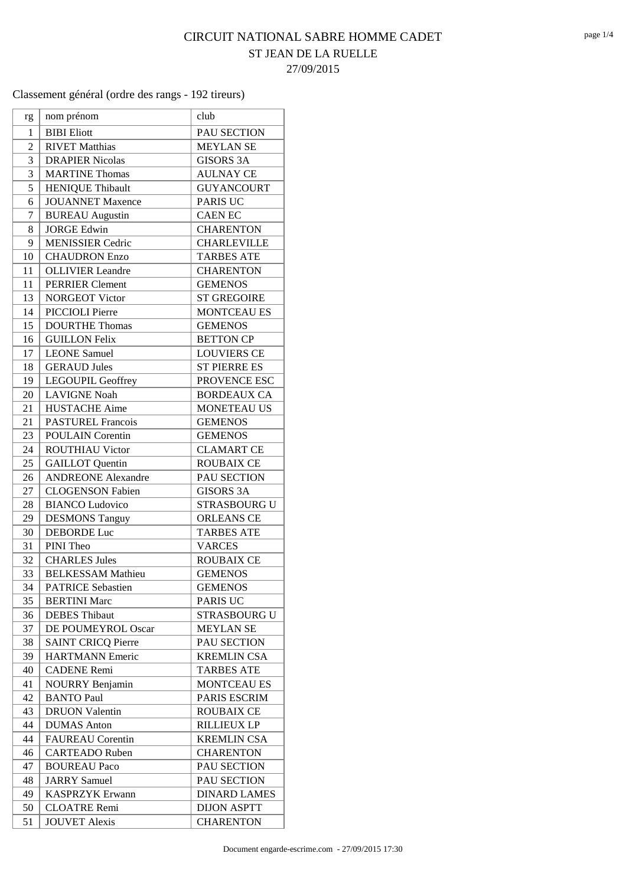## CIRCUIT NATIONAL SABRE HOMME CADET ST JEAN DE LA RUELLE 27/09/2015

|                | nom prénom                | club                |
|----------------|---------------------------|---------------------|
| rg             |                           |                     |
| 1              | <b>BIBI</b> Eliott        | PAU SECTION         |
| $\overline{c}$ | <b>RIVET Matthias</b>     | <b>MEYLAN SE</b>    |
| 3              | <b>DRAPIER Nicolas</b>    | <b>GISORS 3A</b>    |
| 3              | <b>MARTINE Thomas</b>     | <b>AULNAY CE</b>    |
| 5              | <b>HENIQUE Thibault</b>   | <b>GUYANCOURT</b>   |
| 6              | <b>JOUANNET</b> Maxence   | <b>PARIS UC</b>     |
| 7              | <b>BUREAU</b> Augustin    | <b>CAEN EC</b>      |
| 8              | <b>JORGE Edwin</b>        | <b>CHARENTON</b>    |
| 9              | <b>MENISSIER Cedric</b>   | <b>CHARLEVILLE</b>  |
| 10             | <b>CHAUDRON Enzo</b>      | <b>TARBES ATE</b>   |
| 11             | <b>OLLIVIER</b> Leandre   | <b>CHARENTON</b>    |
| 11             | <b>PERRIER Clement</b>    | <b>GEMENOS</b>      |
| 13             | <b>NORGEOT Victor</b>     | <b>ST GREGOIRE</b>  |
| 14             | PICCIOLI Pierre           | <b>MONTCEAU ES</b>  |
| 15             | <b>DOURTHE Thomas</b>     | <b>GEMENOS</b>      |
| 16             | <b>GUILLON Felix</b>      | <b>BETTON CP</b>    |
| 17             | <b>LEONE</b> Samuel       | <b>LOUVIERS CE</b>  |
| 18             | <b>GERAUD Jules</b>       | <b>ST PIERRE ES</b> |
| 19             | LEGOUPIL Geoffrey         | PROVENCE ESC        |
| 20             | <b>LAVIGNE Noah</b>       | <b>BORDEAUX CA</b>  |
| 21             | <b>HUSTACHE Aime</b>      | <b>MONETEAU US</b>  |
| 21             | <b>PASTUREL Francois</b>  | <b>GEMENOS</b>      |
| 23             | <b>POULAIN Corentin</b>   | <b>GEMENOS</b>      |
| 24             | <b>ROUTHIAU Victor</b>    | <b>CLAMART CE</b>   |
| 25             | <b>GAILLOT</b> Quentin    | <b>ROUBAIX CE</b>   |
| 26             | <b>ANDREONE Alexandre</b> | PAU SECTION         |
| 27             | <b>CLOGENSON Fabien</b>   | <b>GISORS 3A</b>    |
| 28             | <b>BIANCO Ludovico</b>    | <b>STRASBOURG U</b> |
| 29             | <b>DESMONS Tanguy</b>     | <b>ORLEANS CE</b>   |
| 30             | <b>DEBORDE Luc</b>        | <b>TARBES ATE</b>   |
| 31             | PINI Theo                 | <b>VARCES</b>       |
| 32             | <b>CHARLES Jules</b>      | <b>ROUBAIX CE</b>   |
| 33             | <b>BELKESSAM Mathieu</b>  | <b>GEMENOS</b>      |
| 34             | <b>PATRICE Sebastien</b>  | <b>GEMENOS</b>      |
| 35             | <b>BERTINI</b> Marc       | <b>PARIS UC</b>     |
| 36             | <b>DEBES</b> Thibaut      | <b>STRASBOURG U</b> |
| 37             | DE POUMEYROL Oscar        | <b>MEYLAN SE</b>    |
| 38             | <b>SAINT CRICQ Pierre</b> | PAU SECTION         |
| 39             | <b>HARTMANN Emeric</b>    | <b>KREMLIN CSA</b>  |
| 40             | <b>CADENE Remi</b>        | <b>TARBES ATE</b>   |
| 41             | <b>NOURRY Benjamin</b>    | <b>MONTCEAU ES</b>  |
| 42             | <b>BANTO Paul</b>         | PARIS ESCRIM        |
| 43             | <b>DRUON Valentin</b>     | <b>ROUBAIX CE</b>   |
| 44             | <b>DUMAS</b> Anton        | RILLIEUX LP         |
| 44             | <b>FAUREAU</b> Corentin   | <b>KREMLIN CSA</b>  |
| 46             | <b>CARTEADO Ruben</b>     | <b>CHARENTON</b>    |
| 47             | <b>BOUREAU Paco</b>       | PAU SECTION         |
| 48             | <b>JARRY</b> Samuel       | PAU SECTION         |
| 49             | <b>KASPRZYK Erwann</b>    | <b>DINARD LAMES</b> |
| 50             | <b>CLOATRE Remi</b>       | <b>DIJON ASPTT</b>  |
| 51             | <b>JOUVET Alexis</b>      | <b>CHARENTON</b>    |
|                |                           |                     |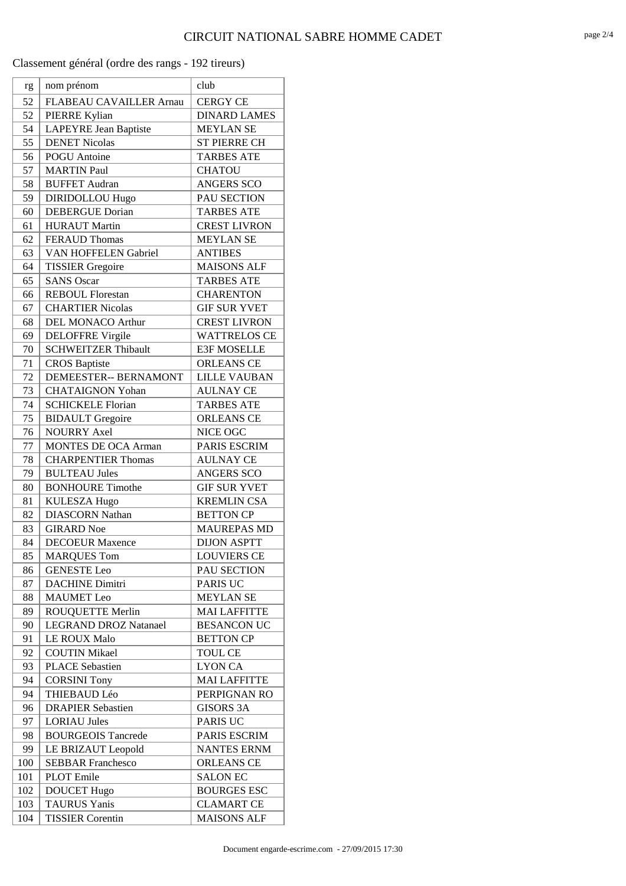| rg       | nom prénom                                    | club                                  |
|----------|-----------------------------------------------|---------------------------------------|
| 52       | FLABEAU CAVAILLER Arnau                       | <b>CERGY CE</b>                       |
| 52       | PIERRE Kylian                                 | <b>DINARD LAMES</b>                   |
| 54       | <b>LAPEYRE Jean Baptiste</b>                  | <b>MEYLAN SE</b>                      |
| 55       | <b>DENET Nicolas</b>                          | <b>ST PIERRE CH</b>                   |
| 56       | <b>POGU</b> Antoine                           | <b>TARBES ATE</b>                     |
| 57       | <b>MARTIN Paul</b>                            | <b>CHATOU</b>                         |
| 58       | <b>BUFFET Audran</b>                          | <b>ANGERS SCO</b>                     |
| 59       | <b>DIRIDOLLOU Hugo</b>                        | PAU SECTION                           |
| 60       | <b>DEBERGUE Dorian</b>                        | <b>TARBES ATE</b>                     |
| 61       | <b>HURAUT Martin</b>                          | <b>CREST LIVRON</b>                   |
| 62       | <b>FERAUD Thomas</b>                          | <b>MEYLAN SE</b>                      |
| 63       | <b>VAN HOFFELEN Gabriel</b>                   | <b>ANTIBES</b>                        |
| 64       | <b>TISSIER Gregoire</b>                       | <b>MAISONS ALF</b>                    |
| 65       | <b>SANS Oscar</b>                             | <b>TARBES ATE</b>                     |
| 66       | <b>REBOUL Florestan</b>                       | <b>CHARENTON</b>                      |
| 67       | <b>CHARTIER Nicolas</b>                       | <b>GIF SUR YVET</b>                   |
| 68       | <b>DEL MONACO Arthur</b>                      | <b>CREST LIVRON</b>                   |
| 69       | <b>DELOFFRE Virgile</b>                       | <b>WATTRELOS CE</b>                   |
| 70       | <b>SCHWEITZER Thibault</b>                    | <b>E3F MOSELLE</b>                    |
| 71       | <b>CROS</b> Baptiste                          | <b>ORLEANS CE</b>                     |
| 72       | DEMEESTER-- BERNAMONT                         | <b>LILLE VAUBAN</b>                   |
| 73       | <b>CHATAIGNON Yohan</b>                       | <b>AULNAY CE</b>                      |
| 74       | <b>SCHICKELE Florian</b>                      | <b>TARBES ATE</b>                     |
| 75       | <b>BIDAULT</b> Gregoire                       | <b>ORLEANS CE</b>                     |
| 76       | <b>NOURRY Axel</b>                            | NICE OGC                              |
| 77       | <b>MONTES DE OCA Arman</b>                    | <b>PARIS ESCRIM</b>                   |
| 78       | <b>CHARPENTIER Thomas</b>                     | <b>AULNAY CE</b>                      |
| 79       | <b>BULTEAU Jules</b>                          | <b>ANGERS SCO</b>                     |
| 80       | <b>BONHOURE Timothe</b>                       | <b>GIF SUR YVET</b>                   |
| 81       | <b>KULESZA Hugo</b>                           | <b>KREMLIN CSA</b>                    |
| 82       | <b>DIASCORN Nathan</b>                        | <b>BETTON CP</b>                      |
| 83       | <b>GIRARD</b> Noe                             | <b>MAUREPAS MD</b>                    |
| 84       | <b>DECOEUR Maxence</b>                        | <b>DIJON ASPTT</b>                    |
| 85       | <b>MARQUES Tom</b>                            | <b>LOUVIERS CE</b>                    |
| 86       | <b>GENESTE Leo</b>                            | PAU SECTION                           |
| 87       | <b>DACHINE Dimitri</b>                        | <b>PARIS UC</b>                       |
| 88       | <b>MAUMET</b> Leo                             | <b>MEYLAN SE</b>                      |
| 89       | <b>ROUQUETTE Merlin</b>                       | <b>MAI LAFFITTE</b>                   |
| 90       | <b>LEGRAND DROZ Natanael</b>                  | <b>BESANCON UC</b>                    |
| 91       | <b>LE ROUX Malo</b>                           | <b>BETTON CP</b>                      |
| 92       | <b>COUTIN Mikael</b>                          | <b>TOUL CE</b>                        |
| 93<br>94 | <b>PLACE Sebastien</b><br><b>CORSINI Tony</b> | <b>LYON CA</b><br><b>MAI LAFFITTE</b> |
| 94       | THIEBAUD Léo                                  | PERPIGNAN RO                          |
| 96       | <b>DRAPIER Sebastien</b>                      | <b>GISORS 3A</b>                      |
| 97       | <b>LORIAU Jules</b>                           | <b>PARIS UC</b>                       |
| 98       | <b>BOURGEOIS Tancrede</b>                     | PARIS ESCRIM                          |
| 99       | LE BRIZAUT Leopold                            | <b>NANTES ERNM</b>                    |
| 100      | <b>SEBBAR Franchesco</b>                      | <b>ORLEANS CE</b>                     |
| 101      | <b>PLOT</b> Emile                             | <b>SALON EC</b>                       |
| 102      | <b>DOUCET Hugo</b>                            | <b>BOURGES ESC</b>                    |
| 103      | <b>TAURUS Yanis</b>                           | <b>CLAMART CE</b>                     |
| 104      | <b>TISSIER Corentin</b>                       | <b>MAISONS ALF</b>                    |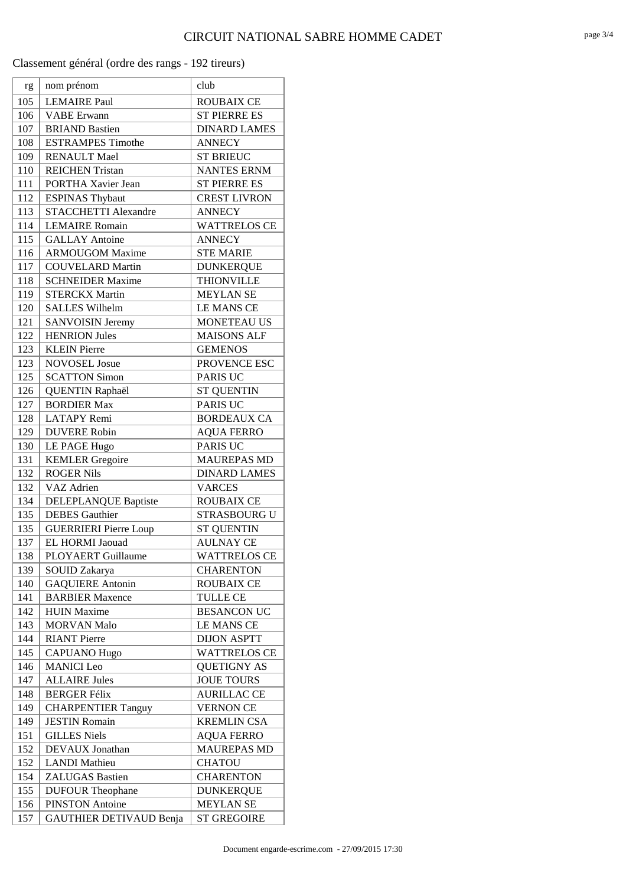| rg  | nom prénom                   | club                |
|-----|------------------------------|---------------------|
| 105 | <b>LEMAIRE Paul</b>          | <b>ROUBAIX CE</b>   |
| 106 | <b>VABE</b> Erwann           | <b>ST PIERRE ES</b> |
| 107 | <b>BRIAND Bastien</b>        | <b>DINARD LAMES</b> |
| 108 | <b>ESTRAMPES Timothe</b>     | <b>ANNECY</b>       |
| 109 | <b>RENAULT Mael</b>          | <b>ST BRIEUC</b>    |
| 110 | <b>REICHEN Tristan</b>       | <b>NANTES ERNM</b>  |
| 111 | PORTHA Xavier Jean           | <b>ST PIERRE ES</b> |
| 112 | <b>ESPINAS Thybaut</b>       | <b>CREST LIVRON</b> |
| 113 | <b>STACCHETTI Alexandre</b>  | <b>ANNECY</b>       |
| 114 | <b>LEMAIRE Romain</b>        | <b>WATTRELOS CE</b> |
| 115 | <b>GALLAY Antoine</b>        | <b>ANNECY</b>       |
| 116 | <b>ARMOUGOM Maxime</b>       | <b>STE MARIE</b>    |
| 117 | <b>COUVELARD Martin</b>      | <b>DUNKERQUE</b>    |
| 118 | <b>SCHNEIDER Maxime</b>      | <b>THIONVILLE</b>   |
| 119 | <b>STERCKX Martin</b>        | <b>MEYLAN SE</b>    |
| 120 | <b>SALLES Wilhelm</b>        | <b>LE MANS CE</b>   |
| 121 | <b>SANVOISIN Jeremy</b>      | <b>MONETEAU US</b>  |
| 122 | <b>HENRION Jules</b>         | <b>MAISONS ALF</b>  |
| 123 | <b>KLEIN Pierre</b>          | <b>GEMENOS</b>      |
| 123 | <b>NOVOSEL Josue</b>         | PROVENCE ESC        |
| 125 | <b>SCATTON Simon</b>         | <b>PARIS UC</b>     |
| 126 | <b>QUENTIN Raphaël</b>       | <b>ST QUENTIN</b>   |
| 127 | <b>BORDIER Max</b>           | <b>PARIS UC</b>     |
| 128 | <b>LATAPY Remi</b>           | <b>BORDEAUX CA</b>  |
| 129 | <b>DUVERE Robin</b>          | <b>AQUA FERRO</b>   |
| 130 | LE PAGE Hugo                 | <b>PARIS UC</b>     |
| 131 | <b>KEMLER</b> Gregoire       | <b>MAUREPAS MD</b>  |
| 132 | <b>ROGER Nils</b>            | <b>DINARD LAMES</b> |
| 132 | VAZ Adrien                   | <b>VARCES</b>       |
| 134 | DELEPLANQUE Baptiste         | <b>ROUBAIX CE</b>   |
| 135 | <b>DEBES</b> Gauthier        | STRASBOURG U        |
| 135 | <b>GUERRIERI Pierre Loup</b> | <b>ST QUENTIN</b>   |
| 137 | EL HORMI Jaouad              | <b>AULNAY CE</b>    |
| 138 | PLOYAERT Guillaume           | <b>WATTRELOS CE</b> |
| 139 | <b>SOUID Zakarya</b>         | <b>CHARENTON</b>    |
| 140 | <b>GAQUIERE Antonin</b>      | <b>ROUBAIX CE</b>   |
| 141 | <b>BARBIER Maxence</b>       | <b>TULLE CE</b>     |
| 142 | <b>HUIN Maxime</b>           | <b>BESANCON UC</b>  |
| 143 | <b>MORVAN Malo</b>           | <b>LE MANS CE</b>   |
| 144 | <b>RIANT</b> Pierre          | <b>DIJON ASPTT</b>  |
| 145 | <b>CAPUANO Hugo</b>          | <b>WATTRELOS CE</b> |
| 146 | <b>MANICI</b> Leo            | <b>QUETIGNY AS</b>  |
| 147 | <b>ALLAIRE Jules</b>         | <b>JOUE TOURS</b>   |
| 148 | <b>BERGER Félix</b>          | <b>AURILLAC CE</b>  |
| 149 | <b>CHARPENTIER Tanguy</b>    | <b>VERNON CE</b>    |
| 149 | <b>JESTIN Romain</b>         | <b>KREMLIN CSA</b>  |
| 151 | <b>GILLES Niels</b>          | <b>AQUA FERRO</b>   |
| 152 | DEVAUX Jonathan              | <b>MAUREPAS MD</b>  |
| 152 | <b>LANDI</b> Mathieu         | <b>CHATOU</b>       |
| 154 | <b>ZALUGAS Bastien</b>       | <b>CHARENTON</b>    |
| 155 | <b>DUFOUR Theophane</b>      | <b>DUNKERQUE</b>    |
| 156 | <b>PINSTON Antoine</b>       | <b>MEYLAN SE</b>    |
| 157 | GAUTHIER DETIVAUD Benja      | <b>ST GREGOIRE</b>  |